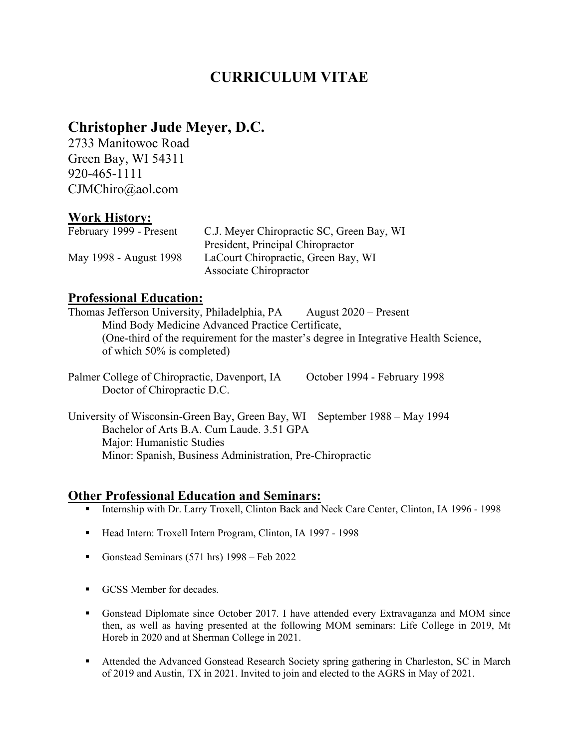# **CURRICULUM VITAE**

# **Christopher Jude Meyer, D.C.**

2733 Manitowoc Road Green Bay, WI 54311 920-465-1111 CJMChiro@aol.com

## **Work History:**

| February 1999 - Present | C.J. Meyer Chiropractic SC, Green Bay, WI |
|-------------------------|-------------------------------------------|
|                         | President, Principal Chiropractor         |
| May 1998 - August 1998  | LaCourt Chiropractic, Green Bay, WI       |
|                         | Associate Chiropractor                    |

#### **Professional Education:**

Thomas Jefferson University, Philadelphia, PA August 2020 – Present Mind Body Medicine Advanced Practice Certificate, (One-third of the requirement for the master's degree in Integrative Health Science, of which 50% is completed)

Palmer College of Chiropractic, Davenport, IA October 1994 - February 1998 Doctor of Chiropractic D.C.

University of Wisconsin-Green Bay, Green Bay, WI September 1988 – May 1994 Bachelor of Arts B.A. Cum Laude. 3.51 GPA Major: Humanistic Studies Minor: Spanish, Business Administration, Pre-Chiropractic

### **Other Professional Education and Seminars:**

- Internship with Dr. Larry Troxell, Clinton Back and Neck Care Center, Clinton, IA 1996 1998
- Head Intern: Troxell Intern Program, Clinton, IA 1997 1998
- Gonstead Seminars (571 hrs) 1998 Feb 2022
- GCSS Member for decades.
- Gonstead Diplomate since October 2017. I have attended every Extravaganza and MOM since then, as well as having presented at the following MOM seminars: Life College in 2019, Mt Horeb in 2020 and at Sherman College in 2021.
- Attended the Advanced Gonstead Research Society spring gathering in Charleston, SC in March of 2019 and Austin, TX in 2021. Invited to join and elected to the AGRS in May of 2021.